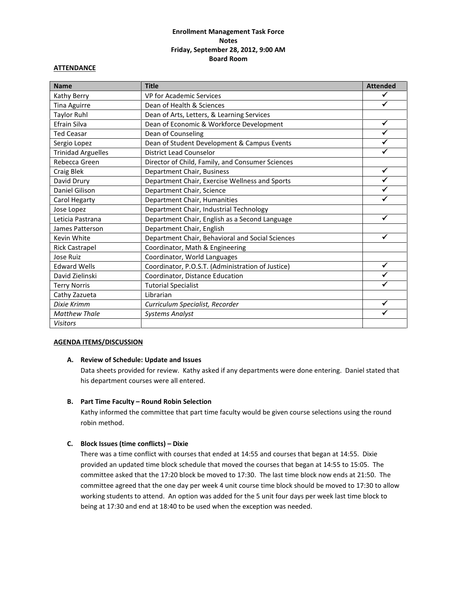# **Enrollment Management Task Force Notes Friday, September 28, 2012, 9:00 AM Board Room**

### **ATTENDANCE**

| <b>Name</b>               | <b>Title</b>                                      | <b>Attended</b> |
|---------------------------|---------------------------------------------------|-----------------|
| Kathy Berry               | VP for Academic Services                          | ✔               |
| <b>Tina Aguirre</b>       | Dean of Health & Sciences                         | ✓               |
| <b>Taylor Ruhl</b>        | Dean of Arts, Letters, & Learning Services        |                 |
| Efrain Silva              | Dean of Economic & Workforce Development          | $\checkmark$    |
| <b>Ted Ceasar</b>         | Dean of Counseling                                |                 |
| Sergio Lopez              | Dean of Student Development & Campus Events       | ✓               |
| <b>Trinidad Arguelles</b> | <b>District Lead Counselor</b>                    |                 |
| Rebecca Green             | Director of Child, Family, and Consumer Sciences  |                 |
| Craig Blek                | Department Chair, Business                        | ✓               |
| David Drury               | Department Chair, Exercise Wellness and Sports    |                 |
| Daniel Gilison            | Department Chair, Science                         |                 |
| Carol Hegarty             | Department Chair, Humanities                      |                 |
| Jose Lopez                | Department Chair, Industrial Technology           |                 |
| Leticia Pastrana          | Department Chair, English as a Second Language    | ✓               |
| James Patterson           | Department Chair, English                         |                 |
| Kevin White               | Department Chair, Behavioral and Social Sciences  | ✔               |
| <b>Rick Castrapel</b>     | Coordinator, Math & Engineering                   |                 |
| Jose Ruiz                 | Coordinator, World Languages                      |                 |
| <b>Edward Wells</b>       | Coordinator, P.O.S.T. (Administration of Justice) | ✓               |
| David Zielinski           | Coordinator, Distance Education                   |                 |
| <b>Terry Norris</b>       | <b>Tutorial Specialist</b>                        |                 |
| Cathy Zazueta             | Librarian                                         |                 |
| Dixie Krimm               | Curriculum Specialist, Recorder                   | ✓               |
| <b>Matthew Thale</b>      | <b>Systems Analyst</b>                            | ✓               |
| <b>Visitors</b>           |                                                   |                 |

### **AGENDA ITEMS/DISCUSSION**

### **A. Review of Schedule: Update and Issues**

Data sheets provided for review. Kathy asked if any departments were done entering. Daniel stated that his department courses were all entered.

### **B. Part Time Faculty – Round Robin Selection**

Kathy informed the committee that part time faculty would be given course selections using the round robin method.

# **C. Block Issues (time conflicts) – Dixie**

There was a time conflict with courses that ended at 14:55 and courses that began at 14:55. Dixie provided an updated time block schedule that moved the courses that began at 14:55 to 15:05. The committee asked that the 17:20 block be moved to 17:30. The last time block now ends at 21:50. The committee agreed that the one day per week 4 unit course time block should be moved to 17:30 to allow working students to attend. An option was added for the 5 unit four days per week last time block to being at 17:30 and end at 18:40 to be used when the exception was needed.